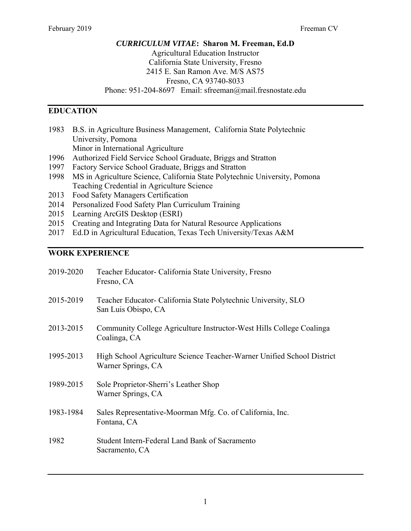# *CURRICULUM VITAE***: Sharon M. Freeman, Ed.D** Agricultural Education Instructor California State University, Fresno 2415 E. San Ramon Ave. M/S AS75 Fresno, CA 93740-8033 Phone: 951-204-8697 Email: sfreeman@mail.fresnostate.edu

# **EDUCATION**

- 1983 B.S. in Agriculture Business Management, California State Polytechnic University, Pomona Minor in International Agriculture
- 1996 Authorized Field Service School Graduate, Briggs and Stratton
- 1997 Factory Service School Graduate, Briggs and Stratton
- 1998 MS in Agriculture Science, California State Polytechnic University, Pomona Teaching Credential in Agriculture Science
- 2013 Food Safety Managers Certification
- 2014 Personalized Food Safety Plan Curriculum Training
- 2015 Learning ArcGIS Desktop (ESRI)
- 2015 Creating and Integrating Data for Natural Resource Applications
- 2017 Ed.D in Agricultural Education, Texas Tech University/Texas A&M

### **WORK EXPERIENCE**

| 2019-2020 | Teacher Educator- California State University, Fresno<br>Fresno, CA                          |
|-----------|----------------------------------------------------------------------------------------------|
| 2015-2019 | Teacher Educator- California State Polytechnic University, SLO<br>San Luis Obispo, CA        |
| 2013-2015 | Community College Agriculture Instructor-West Hills College Coalinga<br>Coalinga, CA         |
| 1995-2013 | High School Agriculture Science Teacher-Warner Unified School District<br>Warner Springs, CA |
| 1989-2015 | Sole Proprietor-Sherri's Leather Shop<br>Warner Springs, CA                                  |
| 1983-1984 | Sales Representative-Moorman Mfg. Co. of California, Inc.<br>Fontana, CA                     |
| 1982      | Student Intern-Federal Land Bank of Sacramento<br>Sacramento, CA                             |
|           |                                                                                              |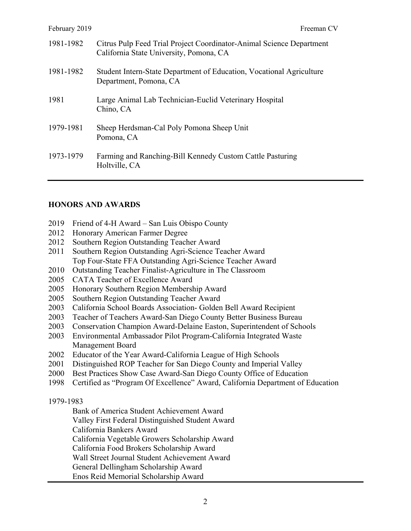| 1981-1982 | Citrus Pulp Feed Trial Project Coordinator-Animal Science Department<br>California State University, Pomona, CA |
|-----------|-----------------------------------------------------------------------------------------------------------------|
| 1981-1982 | Student Intern-State Department of Education, Vocational Agriculture<br>Department, Pomona, CA                  |
| 1981      | Large Animal Lab Technician-Euclid Veterinary Hospital<br>Chino, CA                                             |
| 1979-1981 | Sheep Herdsman-Cal Poly Pomona Sheep Unit<br>Pomona, CA                                                         |
| 1973-1979 | Farming and Ranching-Bill Kennedy Custom Cattle Pasturing<br>Holtville, CA                                      |

### **HONORS AND AWARDS**

- 2019 Friend of 4-H Award San Luis Obispo County
- 2012 Honorary American Farmer Degree
- 2012 Southern Region Outstanding Teacher Award
- 2011 Southern Region Outstanding Agri-Science Teacher Award Top Four-State FFA Outstanding Agri-Science Teacher Award
- 2010 Outstanding Teacher Finalist-Agriculture in The Classroom
- 2005 CATA Teacher of Excellence Award
- 2005 Honorary Southern Region Membership Award
- 2005 Southern Region Outstanding Teacher Award
- 2003 California School Boards Association- Golden Bell Award Recipient
- 2003 Teacher of Teachers Award-San Diego County Better Business Bureau
- 2003 Conservation Champion Award-Delaine Easton, Superintendent of Schools
- 2003 Environmental Ambassador Pilot Program-California Integrated Waste Management Board
- 2002 Educator of the Year Award-California League of High Schools
- 2001 Distinguished ROP Teacher for San Diego County and Imperial Valley
- 2000 Best Practices Show Case Award-San Diego County Office of Education
- 1998 Certified as "Program Of Excellence" Award, California Department of Education

#### 1979-1983

Bank of America Student Achievement Award

Valley First Federal Distinguished Student Award

California Bankers Award

California Vegetable Growers Scholarship Award

California Food Brokers Scholarship Award

Wall Street Journal Student Achievement Award

General Dellingham Scholarship Award

Enos Reid Memorial Scholarship Award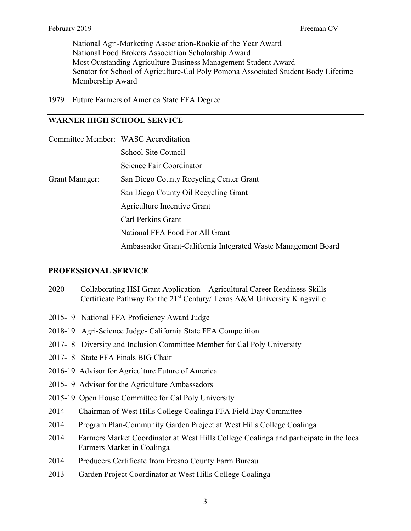National Agri-Marketing Association-Rookie of the Year Award National Food Brokers Association Scholarship Award Most Outstanding Agriculture Business Management Student Award Senator for School of Agriculture-Cal Poly Pomona Associated Student Body Lifetime Membership Award

1979 Future Farmers of America State FFA Degree

# **WARNER HIGH SCHOOL SERVICE**

|                | Committee Member: WASC Accreditation                          |
|----------------|---------------------------------------------------------------|
|                | School Site Council                                           |
|                | Science Fair Coordinator                                      |
| Grant Manager: | San Diego County Recycling Center Grant                       |
|                | San Diego County Oil Recycling Grant                          |
|                | Agriculture Incentive Grant                                   |
|                | Carl Perkins Grant                                            |
|                | National FFA Food For All Grant                               |
|                | Ambassador Grant-California Integrated Waste Management Board |

#### **PROFESSIONAL SERVICE**

- 2020 Collaborating HSI Grant Application Agricultural Career Readiness Skills Certificate Pathway for the  $21<sup>st</sup>$  Century/ Texas A&M University Kingsville
- 2015-19 National FFA Proficiency Award Judge
- 2018-19 Agri-Science Judge- California State FFA Competition
- 2017-18 Diversity and Inclusion Committee Member for Cal Poly University
- 2017-18 State FFA Finals BIG Chair
- 2016-19 Advisor for Agriculture Future of America
- 2015-19 Advisor for the Agriculture Ambassadors
- 2015-19 Open House Committee for Cal Poly University
- 2014 Chairman of West Hills College Coalinga FFA Field Day Committee
- 2014 Program Plan-Community Garden Project at West Hills College Coalinga
- 2014 Farmers Market Coordinator at West Hills College Coalinga and participate in the local Farmers Market in Coalinga
- 2014 Producers Certificate from Fresno County Farm Bureau
- 2013 Garden Project Coordinator at West Hills College Coalinga